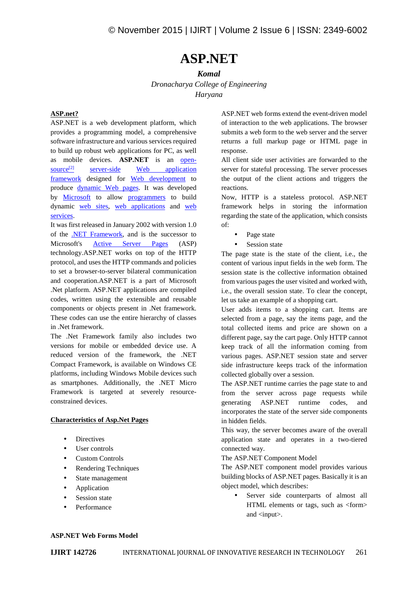# **ASP.NET**

*Komal Dronacharya College of Engineering Haryana*

### **ASP.net?**

ASP.NET is a web development platform, which provides a programming model, a comprehensive software infrastructure and various services required to build up robust web applications for PC, as well as mobile devices. **ASP.NET** is an open  $source^{[2]}$  server-side Web application framework designed for Web development to produce dynamic Web pages. It was developed by Microsoft to allow programmers to build dynamic web sites, web applications and web services.

It was first released in January 2002 with version 1.0 of the .NET Framework, and is the successor to Microsoft's Active Server Pages (ASP) technology.ASP.NET works on top of the HTTP protocol, and uses the HTTP commands and policies to set a browser-to-server bilateral communication and cooperation.ASP.NET is a part of Microsoft .Net platform. ASP.NET applications are compiled codes, written using the extensible and reusable components or objects present in .Net framework. These codes can use the entire hierarchy of classes in .Net framework.

The .Net Framework family also includes two versions for mobile or embedded device use. A reduced version of the framework, the .NET Compact Framework, is available on Windows CE platforms, including Windows Mobile devices such as smartphones. Additionally, the .NET Micro Framework is targeted at severely resource constrained devices.

#### **Characteristics of Asp.Net Pages**

- Directives
- User controls
- Custom Controls
- Rendering Techniques
- State management
- Application
- Session state
- Performance

ASP.NET web forms extend the event-driven model of interaction to the web applications. The browser submits a web form to the web server and the server returns a full markup page or HTML page in response.

All client side user activities are forwarded to the server for stateful processing. The server processes the output of the client actions and triggers the reactions.

Now, HTTP is a stateless protocol. ASP.NET framework helps in storing the information regarding the state of the application, which consists of:

- Page state
- Session state

The page state is the state of the client, i.e., the content of various input fields in the web form. The session state is the collective information obtained from various pages the user visited and worked with, i.e., the overall session state. To clear the concept, let us take an example of a shopping cart.

User adds items to a shopping cart. Items are selected from a page, say the items page, and the total collected items and price are shown on a different page, say the cart page. Only HTTP cannot keep track of all the information coming from various pages. ASP.NET session state and server side infrastructure keeps track of the information collected globally over a session.

The ASP.NET runtime carries the page state to and from the server across page requests while generating ASP.NET runtime codes, and incorporates the state of the server side components in hidden fields.

This way, the server becomes aware of the overall application state and operates in a two-tiered connected way.

The ASP.NET Component Model

The ASP.NET component model provides various building blocks of ASP.NET pages. Basically it is an object model, which describes:

 Server side counterparts of almost all HTML elements or tags, such as <form> and <input>.

## **ASP.NET Web Forms Model**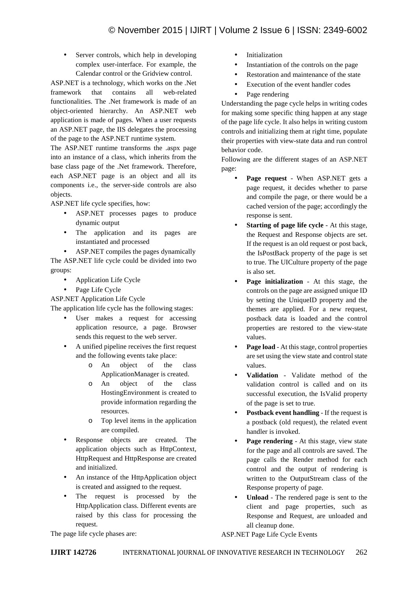• Server controls, which help in developing complex user-interface. For example, the Calendar control or the Gridview control.

ASP.NET is a technology, which works on the .Net framework that contains all web-related functionalities. The .Net framework is made of an object-oriented hierarchy. An ASP.NET web application is made of pages. When a user requests an ASP.NET page, the IIS delegates the processing of the page to the ASP.NET runtime system.

The ASP.NET runtime transforms the .aspx page into an instance of a class, which inherits from the base class page of the .Net framework. Therefore, each ASP.NET page is an object and all its components i.e., the server-side controls are also objects.

ASP.NET life cycle specifies, how:

- ASP.NET processes pages to produce dynamic output
- The application and its pages are instantiated and processed

 ASP.NET compiles the pages dynamically The ASP.NET life cycle could be divided into two groups:

- Application Life Cycle
- Page Life Cycle

ASP.NET Application Life Cycle

The application life cycle has the following stages:

- User makes a request for accessing application resource, a page. Browser sends this request to the web server.
- A unified pipeline receives the first request and the following events take place:
	- o An object of the class ApplicationManager is created.
	- o An object of the class HostingEnvironment is created to provide information regarding the resources.
	- o Top level items in the application are compiled.
- Response objects are created. The application objects such as HttpContext, HttpRequest and HttpResponse are created and initialized.
- An instance of the HttpApplication object is created and assigned to the request.
- The request is processed by the HttpApplication class. Different events are raised by this class for processing the request.

The page life cycle phases are:

- Initialization
- Instantiation of the controls on the page
- Restoration and maintenance of the state
- Execution of the event handler codes
- Page rendering

Understanding the page cycle helps in writing codes for making some specific thing happen at any stage of the page life cycle. It also helps in writing custom controls and initializing them at right time, populate their properties with view-state data and run control behavior code.

Following are the different stages of an ASP.NET page:

- **Page request** When ASP.NET gets a page request, it decides whether to parse and compile the page, or there would be a cached version of the page; accordingly the response is sent.
- **Starting of page life cycle** At this stage, the Request and Response objects are set. If the request is an old request or post back, the IsPostBack property of the page is set to true. The UICulture property of the page is also set.
- **Page initialization** At this stage, the controls on the page are assigned unique ID by setting the UniqueID property and the themes are applied. For a new request, postback data is loaded and the control properties are restored to the view-state values.
- **Page load** At this stage, control properties are set using the view state and control state values.
- **Validation** Validate method of the validation control is called and on its successful execution, the IsValid property of the page is set to true.
- **Postback event handling** If the request is a postback (old request), the related event handler is invoked.
- **Page rendering** At this stage, view state for the page and all controls are saved. The page calls the Render method for each control and the output of rendering is written to the OutputStream class of the Response property of page.
- **Unload** The rendered page is sent to the client and page properties, such as Response and Request, are unloaded and all cleanup done.

ASP.NET Page Life Cycle Events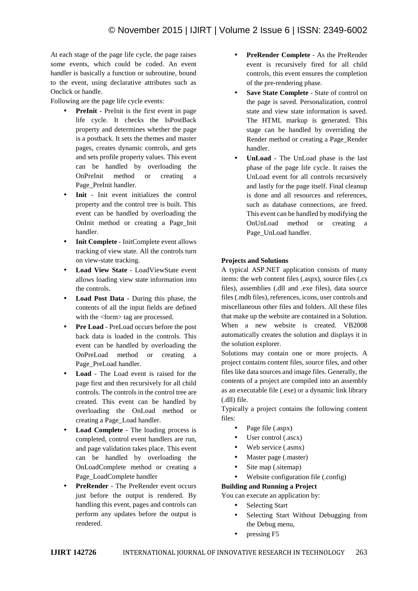At each stage of the page life cycle, the page raises some events, which could be coded. An event handler is basically a function or subroutine, bound to the event, using declarative attributes such as Onclick or handle.

Following are the page life cycle events:

- **PreInit** PreInit is the first event in page life cycle. It checks the IsPostBack property and determines whether the page is a postback. It sets the themes and master pages, creates dynamic controls, and gets and sets profile property values. This event can be handled by overloading the OnPreInit method or creating a Page\_PreInit handler.
- **Init** Init event initializes the control property and the control tree is built. This event can be handled by overloading the OnInit method or creating a Page\_Init handler.
- **Init Complete** InitComplete event allows tracking of view state. All the controls turn on view-state tracking.
- **Load View State** LoadViewState event allows loading view state information into the controls.
- **Load Post Data** During this phase, the contents of all the input fields are defined with the <form> tag are processed.
- **Pre Load** PreLoad occurs before the post back data is loaded in the controls. This event can be handled by overloading the OnPreLoad method or creating a Page\_PreLoad handler.
- **Load** The Load event is raised for the page first and then recursively for all child controls. The controls in the control tree are created. This event can be handled by overloading the OnLoad method or creating a Page\_Load handler.
- **Load Complete** The loading process is completed, control event handlers are run, and page validation takes place. This event can be handled by overloading the OnLoadComplete method or creating a Page\_LoadComplete handler
- **PreRender** The PreRender event occurs just before the output is rendered. By handling this event, pages and controls can perform any updates before the output is rendered.
- **PreRender Complete** As the PreRender event is recursively fired for all child controls, this event ensures the completion of the pre-rendering phase.
- **Save State Complete** State of control on the page is saved. Personalization, control state and view state information is saved. The HTML markup is generated. This stage can be handled by overriding the Render method or creating a Page\_Render handler.
- **UnLoad** The UnLoad phase is the last phase of the page life cycle. It raises the UnLoad event for all controls recursively and lastly for the page itself. Final cleanup is done and all resources and references, such as database connections, are freed. This event can be handled by modifying the OnUnLoad method or creating a Page\_UnLoad handler.

## **Projects and Solutions**

A typical ASP.NET application consists of many items: the web content files (.aspx), source files (.cs files), assemblies (.dll and .exe files), data source files (.mdb files), references, icons, user controls and miscellaneous other files and folders. All these files that make up the website are contained in a Solution. When a new website is created. VB2008 automatically creates the solution and displays it in the solution explorer.

Solutions may contain one or more projects. A project contains content files, source files, and other files like data sources and image files. Generally, the contents of a project are compiled into an assembly as an executable file (.exe) or a dynamic link library (.dll) file.

Typically a project contains the following content files:

- Page file (.aspx)
- User control (.ascx)
- Web service (.asmx)
- Master page (.master)
- Site map (.sitemap)
- Website configuration file (.config)

**Building and Running a Project**

You can execute an application by:

- Selecting Start
- Selecting Start Without Debugging from the Debug menu,
- pressing F5